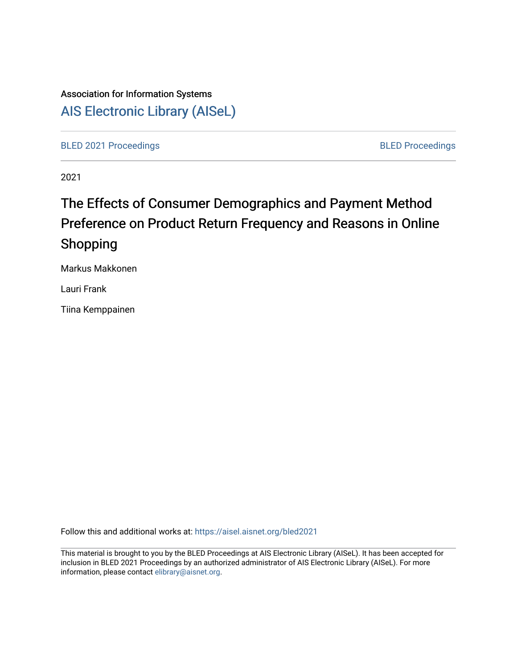# Association for Information Systems [AIS Electronic Library \(AISeL\)](https://aisel.aisnet.org/)

[BLED 2021 Proceedings](https://aisel.aisnet.org/bled2021) **BLED Proceedings** 

2021

# The Effects of Consumer Demographics and Payment Method Preference on Product Return Frequency and Reasons in Online Shopping

Markus Makkonen

Lauri Frank

Tiina Kemppainen

Follow this and additional works at: [https://aisel.aisnet.org/bled2021](https://aisel.aisnet.org/bled2021?utm_source=aisel.aisnet.org%2Fbled2021%2F25&utm_medium=PDF&utm_campaign=PDFCoverPages) 

This material is brought to you by the BLED Proceedings at AIS Electronic Library (AISeL). It has been accepted for inclusion in BLED 2021 Proceedings by an authorized administrator of AIS Electronic Library (AISeL). For more information, please contact [elibrary@aisnet.org.](mailto:elibrary@aisnet.org%3E)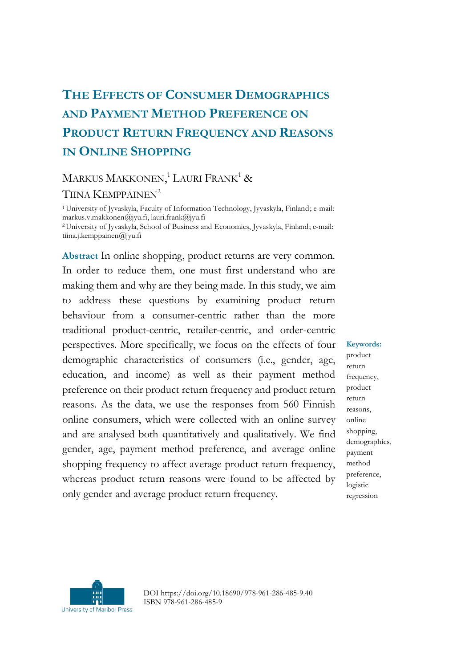## **THE EFFECTS OF CONSUMER DEMOGRAPHICS AND PAYMENT METHOD PREFERENCE ON PRODUCT RETURN FREQUENCY AND REASONS IN ONLINE SHOPPING**

## MARKUS MAKKONEN,<sup>1</sup> LAURI FRANK<sup>1</sup> &

#### TIINA KEMPPAINEN<sup>2</sup>

<sup>1</sup>University of Jyvaskyla, Faculty of Information Technology, Jyvaskyla, Finland; e-mail: markus.v.makkonen@jyu.fi, lauri.frank@jyu.fi <sup>2</sup>University of Jyvaskyla, School of Business and Economics, Jyvaskyla, Finland; e-mail: tiina.j.kemppainen@jyu.fi

**Abstract** In online shopping, product returns are very common. In order to reduce them, one must first understand who are making them and why are they being made. In this study, we aim to address these questions by examining product return behaviour from a consumer-centric rather than the more traditional product-centric, retailer-centric, and order-centric perspectives. More specifically, we focus on the effects of four demographic characteristics of consumers (i.e., gender, age, education, and income) as well as their payment method preference on their product return frequency and product return reasons. As the data, we use the responses from 560 Finnish online consumers, which were collected with an online survey and are analysed both quantitatively and qualitatively. We find gender, age, payment method preference, and average online shopping frequency to affect average product return frequency, whereas product return reasons were found to be affected by only gender and average product return frequency.

**Keywords:**

product return frequency, product return reasons, online shopping, demographics, payment method preference, logistic regression



DOI https://doi.org/10.18690/978-961-286-485-9.40 ISBN 978-961-286-485-9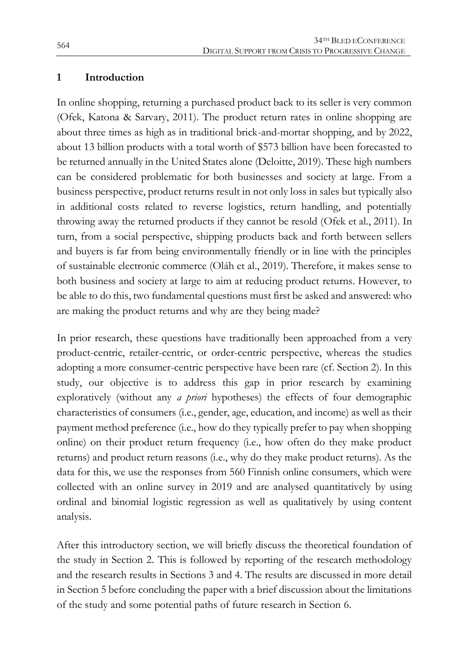#### **1 Introduction**

In online shopping, returning a purchased product back to its seller is very common (Ofek, Katona & Sarvary, 2011). The product return rates in online shopping are about three times as high as in traditional brick-and-mortar shopping, and by 2022, about 13 billion products with a total worth of \$573 billion have been forecasted to be returned annually in the United States alone (Deloitte, 2019). These high numbers can be considered problematic for both businesses and society at large. From a business perspective, product returns result in not only loss in sales but typically also in additional costs related to reverse logistics, return handling, and potentially throwing away the returned products if they cannot be resold (Ofek et al., 2011). In turn, from a social perspective, shipping products back and forth between sellers and buyers is far from being environmentally friendly or in line with the principles of sustainable electronic commerce (Oláh et al., 2019). Therefore, it makes sense to both business and society at large to aim at reducing product returns. However, to be able to do this, two fundamental questions must first be asked and answered: who are making the product returns and why are they being made?

In prior research, these questions have traditionally been approached from a very product-centric, retailer-centric, or order-centric perspective, whereas the studies adopting a more consumer-centric perspective have been rare (cf. Section 2). In this study, our objective is to address this gap in prior research by examining exploratively (without any *a priori* hypotheses) the effects of four demographic characteristics of consumers (i.e., gender, age, education, and income) as well as their payment method preference (i.e., how do they typically prefer to pay when shopping online) on their product return frequency (i.e., how often do they make product returns) and product return reasons (i.e., why do they make product returns). As the data for this, we use the responses from 560 Finnish online consumers, which were collected with an online survey in 2019 and are analysed quantitatively by using ordinal and binomial logistic regression as well as qualitatively by using content analysis.

After this introductory section, we will briefly discuss the theoretical foundation of the study in Section 2. This is followed by reporting of the research methodology and the research results in Sections 3 and 4. The results are discussed in more detail in Section 5 before concluding the paper with a brief discussion about the limitations of the study and some potential paths of future research in Section 6.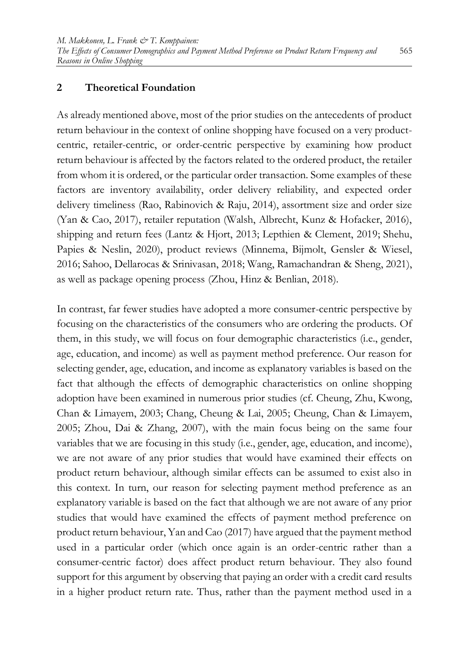#### **2 Theoretical Foundation**

As already mentioned above, most of the prior studies on the antecedents of product return behaviour in the context of online shopping have focused on a very productcentric, retailer-centric, or order-centric perspective by examining how product return behaviour is affected by the factors related to the ordered product, the retailer from whom it is ordered, or the particular order transaction. Some examples of these factors are inventory availability, order delivery reliability, and expected order delivery timeliness (Rao, Rabinovich & Raju, 2014), assortment size and order size (Yan & Cao, 2017), retailer reputation (Walsh, Albrecht, Kunz & Hofacker, 2016), shipping and return fees (Lantz & Hjort, 2013; Lepthien & Clement, 2019; Shehu, Papies & Neslin, 2020), product reviews (Minnema, Bijmolt, Gensler & Wiesel, 2016; Sahoo, Dellarocas & Srinivasan, 2018; Wang, Ramachandran & Sheng, 2021), as well as package opening process (Zhou, Hinz & Benlian, 2018).

In contrast, far fewer studies have adopted a more consumer-centric perspective by focusing on the characteristics of the consumers who are ordering the products. Of them, in this study, we will focus on four demographic characteristics (i.e., gender, age, education, and income) as well as payment method preference. Our reason for selecting gender, age, education, and income as explanatory variables is based on the fact that although the effects of demographic characteristics on online shopping adoption have been examined in numerous prior studies (cf. Cheung, Zhu, Kwong, Chan & Limayem, 2003; Chang, Cheung & Lai, 2005; Cheung, Chan & Limayem, 2005; Zhou, Dai & Zhang, 2007), with the main focus being on the same four variables that we are focusing in this study (i.e., gender, age, education, and income), we are not aware of any prior studies that would have examined their effects on product return behaviour, although similar effects can be assumed to exist also in this context. In turn, our reason for selecting payment method preference as an explanatory variable is based on the fact that although we are not aware of any prior studies that would have examined the effects of payment method preference on product return behaviour, Yan and Cao (2017) have argued that the payment method used in a particular order (which once again is an order-centric rather than a consumer-centric factor) does affect product return behaviour. They also found support for this argument by observing that paying an order with a credit card results in a higher product return rate. Thus, rather than the payment method used in a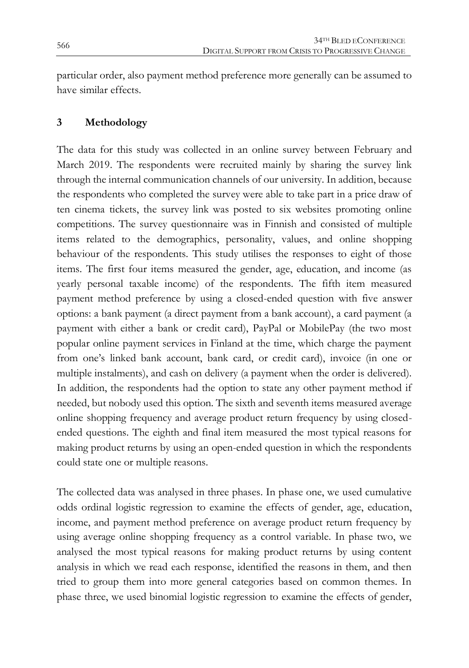particular order, also payment method preference more generally can be assumed to have similar effects.

#### **3 Methodology**

The data for this study was collected in an online survey between February and March 2019. The respondents were recruited mainly by sharing the survey link through the internal communication channels of our university. In addition, because the respondents who completed the survey were able to take part in a price draw of ten cinema tickets, the survey link was posted to six websites promoting online competitions. The survey questionnaire was in Finnish and consisted of multiple items related to the demographics, personality, values, and online shopping behaviour of the respondents. This study utilises the responses to eight of those items. The first four items measured the gender, age, education, and income (as yearly personal taxable income) of the respondents. The fifth item measured payment method preference by using a closed-ended question with five answer options: a bank payment (a direct payment from a bank account), a card payment (a payment with either a bank or credit card), PayPal or MobilePay (the two most popular online payment services in Finland at the time, which charge the payment from one's linked bank account, bank card, or credit card), invoice (in one or multiple instalments), and cash on delivery (a payment when the order is delivered). In addition, the respondents had the option to state any other payment method if needed, but nobody used this option. The sixth and seventh items measured average online shopping frequency and average product return frequency by using closedended questions. The eighth and final item measured the most typical reasons for making product returns by using an open-ended question in which the respondents could state one or multiple reasons.

The collected data was analysed in three phases. In phase one, we used cumulative odds ordinal logistic regression to examine the effects of gender, age, education, income, and payment method preference on average product return frequency by using average online shopping frequency as a control variable. In phase two, we analysed the most typical reasons for making product returns by using content analysis in which we read each response, identified the reasons in them, and then tried to group them into more general categories based on common themes. In phase three, we used binomial logistic regression to examine the effects of gender,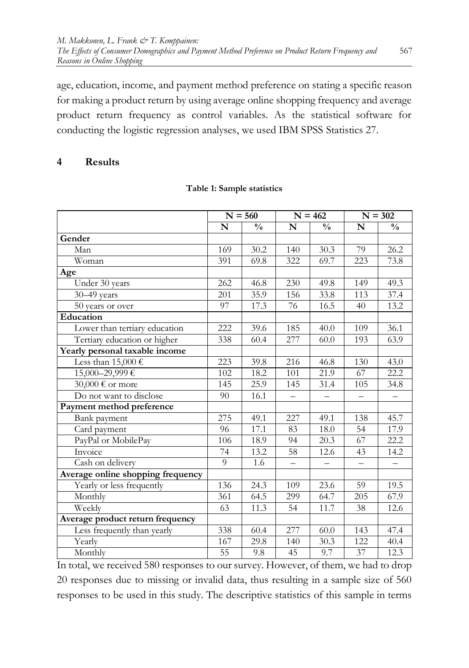age, education, income, and payment method preference on stating a specific reason for making a product return by using average online shopping frequency and average product return frequency as control variables. As the statistical software for conducting the logistic regression analyses, we used IBM SPSS Statistics 27.

#### **4 Results**

|                                   | $N = 560$       |               | $N = 462$                |                   | $N = 302$                |                   |
|-----------------------------------|-----------------|---------------|--------------------------|-------------------|--------------------------|-------------------|
|                                   | N               | $\frac{0}{0}$ | N                        | $\frac{0}{0}$     | N                        | $\frac{0}{0}$     |
| Gender                            |                 |               |                          |                   |                          |                   |
| Man                               | 169             | 30.2          | 140                      | 30.3              | 79                       | 26.2              |
| Woman                             | 391             | 69.8          | 322                      | 69.7              | 223                      | 73.8              |
| Age                               |                 |               |                          |                   |                          |                   |
| Under 30 years                    | 262             | 46.8          | 230                      | 49.8              | 149                      | 49.3              |
| $30 - 49$ years                   | 201             | 35.9          | 156                      | 33.8              | 113                      | 37.4              |
| 50 years or over                  | 97              | 17.3          | 76                       | 16.5              | 40                       | 13.2              |
| Education                         |                 |               |                          |                   |                          |                   |
| Lower than tertiary education     | 222             | 39.6          | 185                      | 40.0              | 109                      | 36.1              |
| Tertiary education or higher      | 338             | 60.4          | 277                      | 60.0              | 193                      | 63.9              |
| Yearly personal taxable income    |                 |               |                          |                   |                          |                   |
| Less than 15,000 €                | 223             | 39.8          | 216                      | 46.8              | 130                      | 43.0              |
| 15,000-29,999€                    | 102             | 18.2          | 101                      | 21.9              | 67                       | 22.2              |
| 30,000 € or more                  | 145             | 25.9          | 145                      | 31.4              | 105                      | 34.8              |
| Do not want to disclose           | 90              | 16.1          | $\qquad \qquad -$        | $\qquad \qquad -$ | $\qquad \qquad -$        | $\qquad \qquad -$ |
| Payment method preference         |                 |               |                          |                   |                          |                   |
| Bank payment                      | 275             | 49.1          | 227                      | 49.1              | 138                      | 45.7              |
| Card payment                      | 96              | 17.1          | 83                       | 18.0              | 54                       | 17.9              |
| PayPal or MobilePay               | 106             | 18.9          | 94                       | 20.3              | 67                       | 22.2              |
| Invoice                           | 74              | 13.2          | 58                       | 12.6              | 43                       | 14.2              |
| Cash on delivery                  | 9               | 1.6           | $\overline{\phantom{0}}$ |                   | $\overline{\phantom{0}}$ |                   |
| Average online shopping frequency |                 |               |                          |                   |                          |                   |
| Yearly or less frequently         | 136             | 24.3          | 109                      | 23.6              | 59                       | 19.5              |
| Monthly                           | 361             | 64.5          | 299                      | 64.7              | 205                      | 67.9              |
| Weekly                            | 63              | 11.3          | 54                       | 11.7              | 38                       | 12.6              |
| Average product return frequency  |                 |               |                          |                   |                          |                   |
| Less frequently than yearly       | 338             | 60.4          | 277                      | 60.0              | 143                      | 47.4              |
| Yearly                            | 167             | 29.8          | 140                      | 30.3              | 122                      | 40.4              |
| Monthly                           | $\overline{55}$ | 9.8           | 45                       | 9.7               | 37                       | 12.3              |

#### **Table 1: Sample statistics**

In total, we received 580 responses to our survey. However, of them, we had to drop 20 responses due to missing or invalid data, thus resulting in a sample size of 560 responses to be used in this study. The descriptive statistics of this sample in terms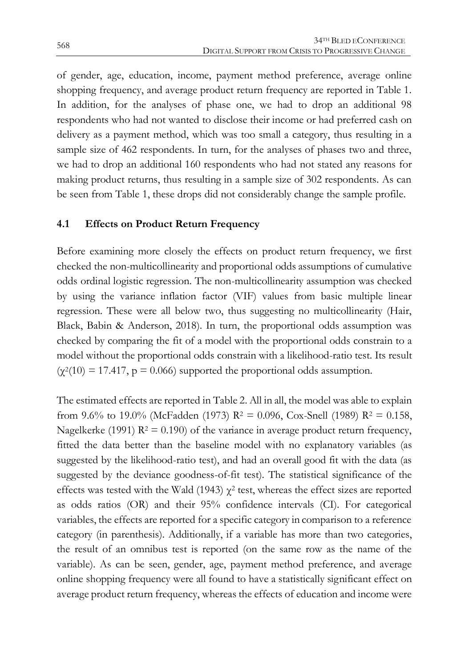of gender, age, education, income, payment method preference, average online shopping frequency, and average product return frequency are reported in Table 1. In addition, for the analyses of phase one, we had to drop an additional 98 respondents who had not wanted to disclose their income or had preferred cash on delivery as a payment method, which was too small a category, thus resulting in a sample size of 462 respondents. In turn, for the analyses of phases two and three, we had to drop an additional 160 respondents who had not stated any reasons for making product returns, thus resulting in a sample size of 302 respondents. As can be seen from Table 1, these drops did not considerably change the sample profile.

#### **4.1 Effects on Product Return Frequency**

Before examining more closely the effects on product return frequency, we first checked the non-multicollinearity and proportional odds assumptions of cumulative odds ordinal logistic regression. The non-multicollinearity assumption was checked by using the variance inflation factor (VIF) values from basic multiple linear regression. These were all below two, thus suggesting no multicollinearity (Hair, Black, Babin & Anderson, 2018). In turn, the proportional odds assumption was checked by comparing the fit of a model with the proportional odds constrain to a model without the proportional odds constrain with a likelihood-ratio test. Its result  $(\chi^2(10) = 17.417, p = 0.066)$  supported the proportional odds assumption.

The estimated effects are reported in Table 2. All in all, the model was able to explain from 9.6% to 19.0% (McFadden (1973)  $R^2 = 0.096$ , Cox-Snell (1989)  $R^2 = 0.158$ , Nagelkerke (1991)  $R^2 = 0.190$ ) of the variance in average product return frequency, fitted the data better than the baseline model with no explanatory variables (as suggested by the likelihood-ratio test), and had an overall good fit with the data (as suggested by the deviance goodness-of-fit test). The statistical significance of the effects was tested with the Wald (1943)  $\chi^2$  test, whereas the effect sizes are reported as odds ratios (OR) and their 95% confidence intervals (CI). For categorical variables, the effects are reported for a specific category in comparison to a reference category (in parenthesis). Additionally, if a variable has more than two categories, the result of an omnibus test is reported (on the same row as the name of the variable). As can be seen, gender, age, payment method preference, and average online shopping frequency were all found to have a statistically significant effect on average product return frequency, whereas the effects of education and income were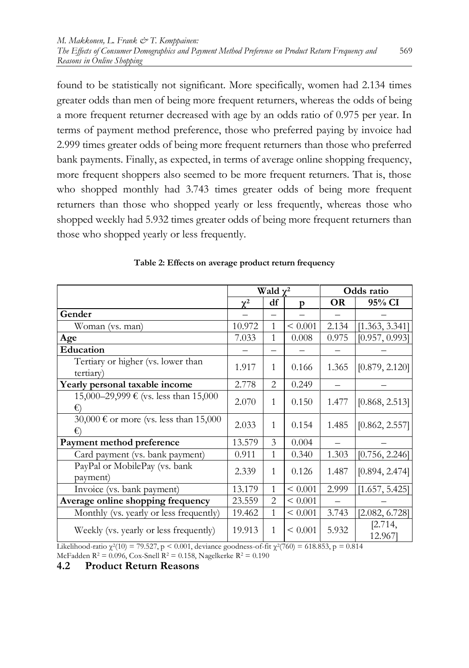found to be statistically not significant. More specifically, women had 2.134 times greater odds than men of being more frequent returners, whereas the odds of being a more frequent returner decreased with age by an odds ratio of 0.975 per year. In terms of payment method preference, those who preferred paying by invoice had 2.999 times greater odds of being more frequent returners than those who preferred bank payments. Finally, as expected, in terms of average online shopping frequency, more frequent shoppers also seemed to be more frequent returners. That is, those who shopped monthly had 3.743 times greater odds of being more frequent returners than those who shopped yearly or less frequently, whereas those who shopped weekly had 5.932 times greater odds of being more frequent returners than those who shopped yearly or less frequently.

|                                                 | Wald $\gamma^2$ |                |              | Odds ratio |                   |  |
|-------------------------------------------------|-----------------|----------------|--------------|------------|-------------------|--|
|                                                 | $\chi^2$        | df             | p            | <b>OR</b>  | 95% CI            |  |
| Gender                                          |                 |                |              |            |                   |  |
| Woman (vs. man)                                 | 10.972          | $\mathbf{1}$   | < 0.001      | 2.134      | [1.363, 3.341]    |  |
| Age                                             | 7.033           | 1              | 0.008        | 0.975      | [0.957, 0.993]    |  |
| Education                                       |                 |                |              |            |                   |  |
| Tertiary or higher (vs. lower than<br>tertiary) | 1.917           | 1              | 0.166        | 1.365      | [0.879, 2.120]    |  |
| Yearly personal taxable income                  | 2.778           | 2              | 0.249        |            |                   |  |
| 15,000–29,999 € (vs. less than 15,000<br>€)     | 2.070           | $\mathbf{1}$   | 0.150        | 1.477      | [0.868, 2.513]    |  |
| 30,000 € or more (vs. less than 15,000<br>€     | 2.033           | $\mathbf{1}$   | 0.154        | 1.485      | [0.862, 2.557]    |  |
| Payment method preference                       | 13.579          | 3              | 0.004        |            |                   |  |
| Card payment (vs. bank payment)                 | 0.911           | 1              | 0.340        | 1.303      | [0.756, 2.246]    |  |
| PayPal or MobilePay (vs. bank<br>payment)       | 2.339           | $\mathbf{1}$   | 0.126        | 1.487      | [0.894, 2.474]    |  |
| Invoice (vs. bank payment)                      | 13.179          | $\mathbf{1}$   | < 0.001      | 2.999      | [1.657, 5.425]    |  |
| Average online shopping frequency               | 23.559          | $\overline{2}$ | < 0.001      |            |                   |  |
| Monthly (vs. yearly or less frequently)         | 19.462          | $\mathbf{1}$   | ${}< 0.001$  | 3.743      | [2.082, 6.728]    |  |
| Weekly (vs. yearly or less frequently)          | 19.913          | $\mathbf{1}$   | ${}_{0.001}$ | 5.932      | [2.714,<br>12.967 |  |

Likelihood-ratio  $\chi^2(10) = 79.527$ , p < 0.001, deviance goodness-of-fit  $\chi^2(760) = 618.853$ , p = 0.814 McFadden R<sup>2</sup> = 0.096, Cox-Snell R<sup>2</sup> = 0.158, Nagelkerke R<sup>2</sup> = 0.190

**4.2 Product Return Reasons**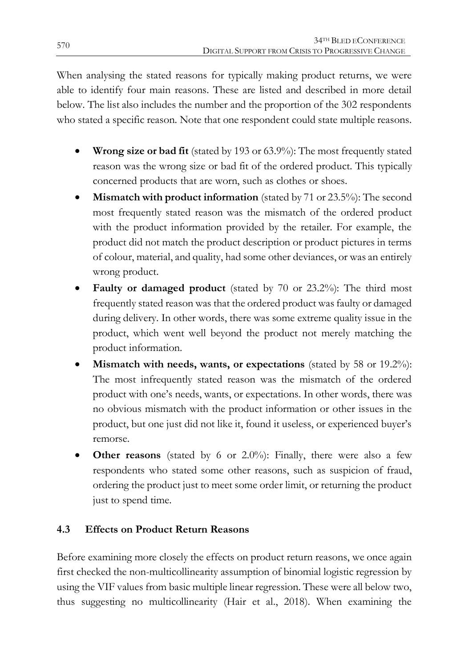When analysing the stated reasons for typically making product returns, we were able to identify four main reasons. These are listed and described in more detail below. The list also includes the number and the proportion of the 302 respondents who stated a specific reason. Note that one respondent could state multiple reasons.

- **Wrong size or bad fit** (stated by 193 or 63.9%): The most frequently stated reason was the wrong size or bad fit of the ordered product. This typically concerned products that are worn, such as clothes or shoes.
- **Mismatch with product information** (stated by 71 or 23.5%): The second most frequently stated reason was the mismatch of the ordered product with the product information provided by the retailer. For example, the product did not match the product description or product pictures in terms of colour, material, and quality, had some other deviances, or was an entirely wrong product.
- **Faulty or damaged product** (stated by 70 or 23.2%): The third most frequently stated reason was that the ordered product was faulty or damaged during delivery. In other words, there was some extreme quality issue in the product, which went well beyond the product not merely matching the product information.
- **Mismatch with needs, wants, or expectations** (stated by 58 or 19.2%): The most infrequently stated reason was the mismatch of the ordered product with one's needs, wants, or expectations. In other words, there was no obvious mismatch with the product information or other issues in the product, but one just did not like it, found it useless, or experienced buyer's remorse.
- **Other reasons** (stated by 6 or 2.0%): Finally, there were also a few respondents who stated some other reasons, such as suspicion of fraud, ordering the product just to meet some order limit, or returning the product just to spend time.

### **4.3 Effects on Product Return Reasons**

Before examining more closely the effects on product return reasons, we once again first checked the non-multicollinearity assumption of binomial logistic regression by using the VIF values from basic multiple linear regression. These were all below two, thus suggesting no multicollinearity (Hair et al., 2018). When examining the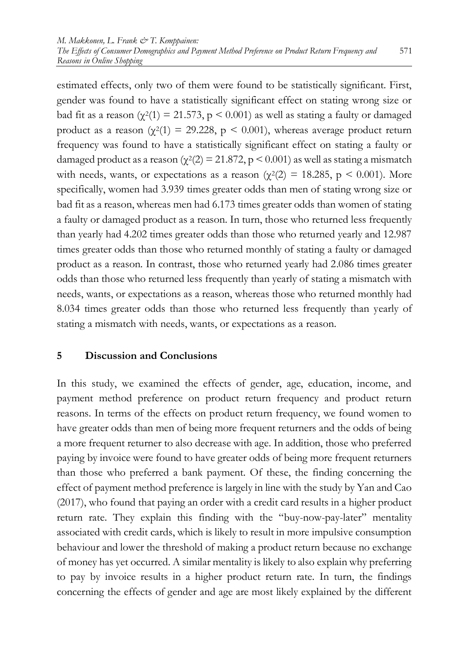estimated effects, only two of them were found to be statistically significant. First, gender was found to have a statistically significant effect on stating wrong size or bad fit as a reason ( $\chi^2(1) = 21.573$ , p < 0.001) as well as stating a faulty or damaged product as a reason ( $\chi^2(1) = 29.228$ ,  $p \le 0.001$ ), whereas average product return frequency was found to have a statistically significant effect on stating a faulty or damaged product as a reason ( $\chi^2(2) = 21.872$ , p < 0.001) as well as stating a mismatch with needs, wants, or expectations as a reason ( $\chi^2(2) = 18.285$ , p < 0.001). More specifically, women had 3.939 times greater odds than men of stating wrong size or bad fit as a reason, whereas men had 6.173 times greater odds than women of stating a faulty or damaged product as a reason. In turn, those who returned less frequently than yearly had 4.202 times greater odds than those who returned yearly and 12.987 times greater odds than those who returned monthly of stating a faulty or damaged product as a reason. In contrast, those who returned yearly had 2.086 times greater odds than those who returned less frequently than yearly of stating a mismatch with needs, wants, or expectations as a reason, whereas those who returned monthly had 8.034 times greater odds than those who returned less frequently than yearly of stating a mismatch with needs, wants, or expectations as a reason.

#### **5 Discussion and Conclusions**

In this study, we examined the effects of gender, age, education, income, and payment method preference on product return frequency and product return reasons. In terms of the effects on product return frequency, we found women to have greater odds than men of being more frequent returners and the odds of being a more frequent returner to also decrease with age. In addition, those who preferred paying by invoice were found to have greater odds of being more frequent returners than those who preferred a bank payment. Of these, the finding concerning the effect of payment method preference is largely in line with the study by Yan and Cao (2017), who found that paying an order with a credit card results in a higher product return rate. They explain this finding with the "buy-now-pay-later" mentality associated with credit cards, which is likely to result in more impulsive consumption behaviour and lower the threshold of making a product return because no exchange of money has yet occurred. A similar mentality is likely to also explain why preferring to pay by invoice results in a higher product return rate. In turn, the findings concerning the effects of gender and age are most likely explained by the different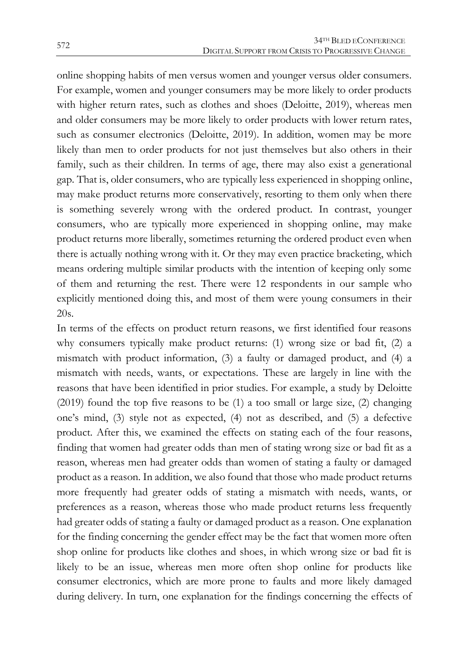online shopping habits of men versus women and younger versus older consumers. For example, women and younger consumers may be more likely to order products with higher return rates, such as clothes and shoes (Deloitte, 2019), whereas men and older consumers may be more likely to order products with lower return rates, such as consumer electronics (Deloitte, 2019). In addition, women may be more likely than men to order products for not just themselves but also others in their family, such as their children. In terms of age, there may also exist a generational gap. That is, older consumers, who are typically less experienced in shopping online, may make product returns more conservatively, resorting to them only when there is something severely wrong with the ordered product. In contrast, younger consumers, who are typically more experienced in shopping online, may make product returns more liberally, sometimes returning the ordered product even when there is actually nothing wrong with it. Or they may even practice bracketing, which means ordering multiple similar products with the intention of keeping only some of them and returning the rest. There were 12 respondents in our sample who explicitly mentioned doing this, and most of them were young consumers in their 20s.

In terms of the effects on product return reasons, we first identified four reasons why consumers typically make product returns: (1) wrong size or bad fit, (2) a mismatch with product information, (3) a faulty or damaged product, and (4) a mismatch with needs, wants, or expectations. These are largely in line with the reasons that have been identified in prior studies. For example, a study by Deloitte (2019) found the top five reasons to be (1) a too small or large size, (2) changing one's mind, (3) style not as expected, (4) not as described, and (5) a defective product. After this, we examined the effects on stating each of the four reasons, finding that women had greater odds than men of stating wrong size or bad fit as a reason, whereas men had greater odds than women of stating a faulty or damaged product as a reason. In addition, we also found that those who made product returns more frequently had greater odds of stating a mismatch with needs, wants, or preferences as a reason, whereas those who made product returns less frequently had greater odds of stating a faulty or damaged product as a reason. One explanation for the finding concerning the gender effect may be the fact that women more often shop online for products like clothes and shoes, in which wrong size or bad fit is likely to be an issue, whereas men more often shop online for products like consumer electronics, which are more prone to faults and more likely damaged during delivery. In turn, one explanation for the findings concerning the effects of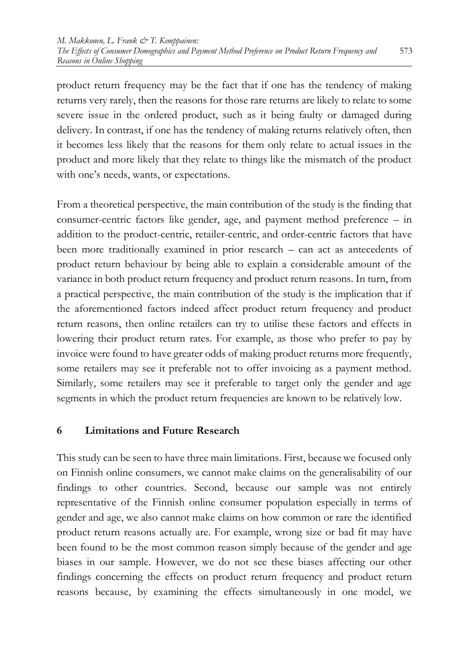product return frequency may be the fact that if one has the tendency of making returns very rarely, then the reasons for those rare returns are likely to relate to some severe issue in the ordered product, such as it being faulty or damaged during delivery. In contrast, if one has the tendency of making returns relatively often, then it becomes less likely that the reasons for them only relate to actual issues in the product and more likely that they relate to things like the mismatch of the product with one's needs, wants, or expectations.

From a theoretical perspective, the main contribution of the study is the finding that consumer-centric factors like gender, age, and payment method preference – in addition to the product-centric, retailer-centric, and order-centric factors that have been more traditionally examined in prior research – can act as antecedents of product return behaviour by being able to explain a considerable amount of the variance in both product return frequency and product return reasons. In turn, from a practical perspective, the main contribution of the study is the implication that if the aforementioned factors indeed affect product return frequency and product return reasons, then online retailers can try to utilise these factors and effects in lowering their product return rates. For example, as those who prefer to pay by invoice were found to have greater odds of making product returns more frequently, some retailers may see it preferable not to offer invoicing as a payment method. Similarly, some retailers may see it preferable to target only the gender and age segments in which the product return frequencies are known to be relatively low.

#### **6 Limitations and Future Research**

This study can be seen to have three main limitations. First, because we focused only on Finnish online consumers, we cannot make claims on the generalisability of our findings to other countries. Second, because our sample was not entirely representative of the Finnish online consumer population especially in terms of gender and age, we also cannot make claims on how common or rare the identified product return reasons actually are. For example, wrong size or bad fit may have been found to be the most common reason simply because of the gender and age biases in our sample. However, we do not see these biases affecting our other findings concerning the effects on product return frequency and product return reasons because, by examining the effects simultaneously in one model, we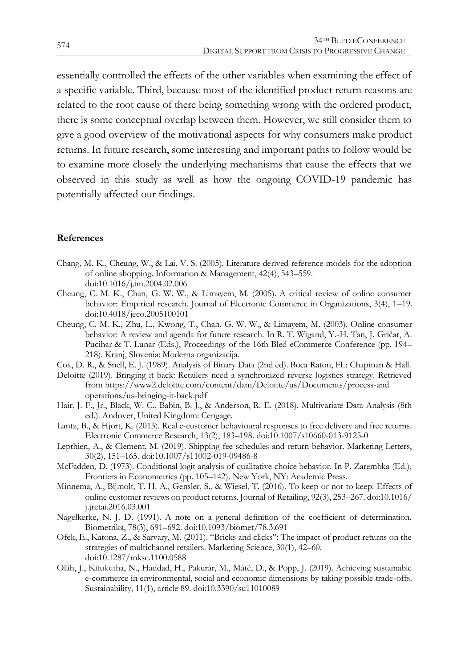essentially controlled the effects of the other variables when examining the effect of a specific variable. Third, because most of the identified product return reasons are related to the root cause of there being something wrong with the ordered product, there is some conceptual overlap between them. However, we still consider them to give a good overview of the motivational aspects for why consumers make product returns. In future research, some interesting and important paths to follow would be to examine more closely the underlying mechanisms that cause the effects that we observed in this study as well as how the ongoing COVID-19 pandemic has potentially affected our findings.

#### **References**

- Chang, M. K., Cheung, W., & Lai, V. S. (2005). Literature derived reference models for the adoption of online shopping. Information & Management, 42(4), 543–559. doi:10.1016/j.im.2004.02.006
- Cheung, C. M. K., Chan, G. W. W., & Limayem, M. (2005). A critical review of online consumer behavior: Empirical research. Journal of Electronic Commerce in Organizations, 3(4), 1–19. doi:10.4018/jeco.2005100101
- Cheung, C. M. K., Zhu, L., Kwong, T., Chan, G. W. W., & Limayem, M. (2003). Online consumer behavior: A review and agenda for future research. In R. T. Wigand, Y.-H. Tan, J. Gričar, A. Pucihar & T. Lunar (Eds.), Proceedings of the 16th Bled eCommerce Conference (pp. 194– 218). Kranj, Slovenia: Moderna organizacija.
- Cox, D. R., & Snell, E. J. (1989). Analysis of Binary Data (2nd ed). Boca Raton, FL: Chapman & Hall.
- Deloitte (2019). Bringing it back: Retailers need a synchronized reverse logistics strategy. Retrieved from https://www2.deloitte.com/content/dam/Deloitte/us/Documents/process-and operations/us-bringing-it-back.pdf
- Hair, J. F., Jr., Black, W. C., Babin, B. J., & Anderson, R. E. (2018). Multivariate Data Analysis (8th ed.). Andover, United Kingdom: Cengage.
- Lantz, B., & Hjort, K. (2013). Real e-customer behavioural responses to free delivery and free returns. Electronic Commerce Research, 13(2), 183–198. doi:10.1007/s10660-013-9125-0
- Lepthien, A., & Clement, M. (2019). Shipping fee schedules and return behavior. Marketing Letters, 30(2), 151–165. doi:10.1007/s11002-019-09486-8
- McFadden, D. (1973). Conditional logit analysis of qualitative choice behavior. In P. Zarembka (Ed.), Frontiers in Econometrics (pp. 105–142). New York, NY: Academic Press.
- Minnema, A., Bijmolt, T. H. A., Gensler, S., & Wiesel, T. (2016). To keep or not to keep: Effects of online customer reviews on product returns. Journal of Retailing, 92(3), 253–267. doi:10.1016/ j.jretai.2016.03.001
- Nagelkerke, N. J. D. (1991). A note on a general definition of the coefficient of determination. Biometrika, 78(3), 691–692. doi:10.1093/biomet/78.3.691
- Ofek, E., Katona, Z., & Sarvary, M. (2011). "Bricks and clicks": The impact of product returns on the strategies of multichannel retailers. Marketing Science, 30(1), 42–60. doi:10.1287/mksc.1100.0588
- Oláh, J., Kitukutha, N., Haddad, H., Pakurár, M., Máté, D., & Popp, J. (2019). Achieving sustainable e-commerce in environmental, social and economic dimensions by taking possible trade-offs. Sustainability, 11(1), article 89. doi:10.3390/su11010089